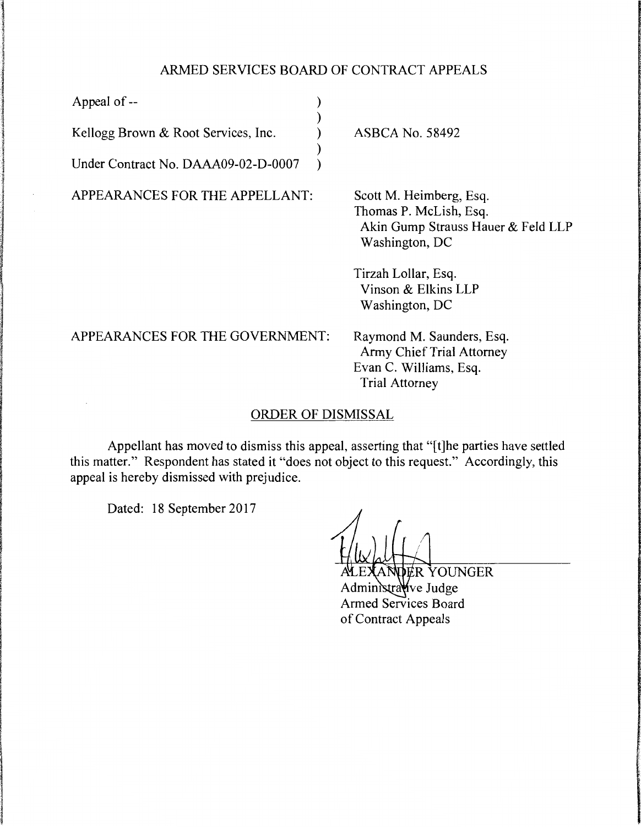## ARMED SERVICES BOARD OF CONTRACT APPEALS

| Appeal of --                        |                                                                                                                  |
|-------------------------------------|------------------------------------------------------------------------------------------------------------------|
| Kellogg Brown & Root Services, Inc. | <b>ASBCA No. 58492</b>                                                                                           |
| Under Contract No. DAAA09-02-D-0007 |                                                                                                                  |
| APPEARANCES FOR THE APPELLANT:      | Scott M. Heimberg, Esq.<br>Thomas P. McLish, Esq.<br>Akin Gump Strauss Hauer & Feld LLP<br>Washington, DC        |
|                                     | Tirzah Lollar, Esq.<br>Vinson & Elkins LLP<br>Washington, DC                                                     |
| APPEARANCES FOR THE GOVERNMENT:     | Raymond M. Saunders, Esq.<br><b>Army Chief Trial Attorney</b><br>Evan C. Williams, Esq.<br><b>Trial Attorney</b> |
| <b>ORDER OF DISMISSAL</b>           |                                                                                                                  |

Appellant has moved to dismiss this appeal, asserting that "[t]he parties have settled this matter." Respondent has stated it "does not object to this request." Accordingly, this appeal is hereby dismissed with prejudice.

Dated: 18 September 2017

ANDER YOUNGER Administrative Judge Armed Services Board of Contract Appeals